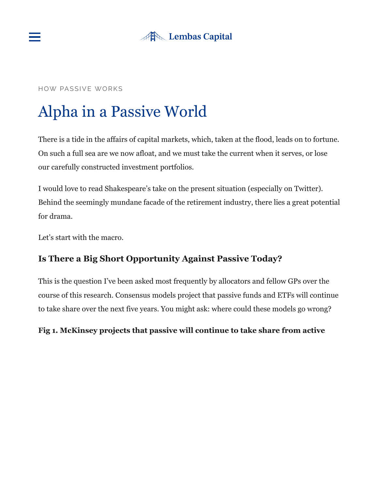



#### HOW PASSIVE WORKS

# Alpha in a Passive World

There is a tide in the affairs of capital markets, which, taken at the flood, leads on to fortune. On such a full sea are we now afloat, and we must take the current when it serves, or lose our carefully constructed investment portfolios.

I would love to read Shakespeare's take on the present situation (especially on Twitter). Behind the seemingly mundane facade of the retirement industry, there lies a great potential for drama.

Let's start with the macro.

# **Is There a Big Short Opportunity Against Passive Today?**

This is the question I've been asked most frequently by allocators and fellow GPs over the course of this research. Consensus models project that passive funds and ETFs will continue to take share over the next five years. You might ask: where could these models go wrong?

## **Fig 1. McKinsey projects that passive will continue to take share from active**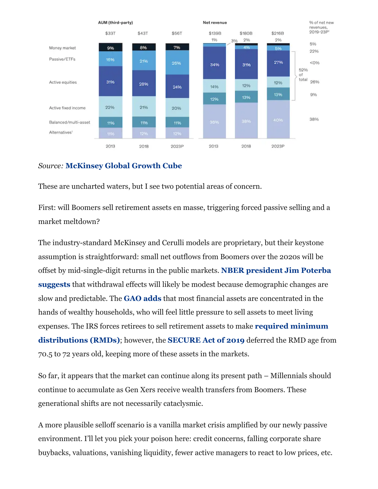

### *Source:* **[McKinsey Global Growth Cube](https://www.mckinsey.com/~/media/McKinsey/Industries/Financial%20Services/Our%20Insights/Beyond%20the%20Rubicon%20Asset%20management%20in%20an%20era%20of%20unrelenting%20change/Beyond-the-Rubicon-NA-asset-management-2019.pdf)**

These are uncharted waters, but I see two potential areas of concern.

First: will Boomers sell retirement assets en masse, triggering forced passive selling and a market meltdown?

The industry-standard McKinsey and Cerulli models are proprietary, but their keystone assumption is straightforward: small net outflows from Boomers over the 2020s will be offset by mid-single-digit returns in the public markets. **NBER president Jim Poterba suggests** [that withdrawal effects will likely be modest because demographic changes are](https://www.nber.org/papers/w19930) slow and predictable. The **[GAO adds](https://www.gao.gov/new.items/d06718.pdf)** that most financial assets are concentrated in the hands of wealthy households, who will feel little pressure to sell assets to meet living [expenses. The IRS forces retirees to sell retirement assets to make](https://www.irs.gov/retirement-plans/plan-participant-employee/retirement-topics-required-minimum-distributions-rmds) **required minimum distributions (RMDs)**; however, the **[SECURE Act of 2019](https://en.wikipedia.org/wiki/SECURE_Act_of_2019)** deferred the RMD age from 70.5 to 72 years old, keeping more of these assets in the markets.

So far, it appears that the market can continue along its present path – Millennials should continue to accumulate as Gen Xers receive wealth transfers from Boomers. These generational shifts are not necessarily cataclysmic.

A more plausible selloff scenario is a vanilla market crisis amplified by our newly passive environment. I'll let you pick your poison here: credit concerns, falling corporate share buybacks, valuations, vanishing liquidity, fewer active managers to react to low prices, etc.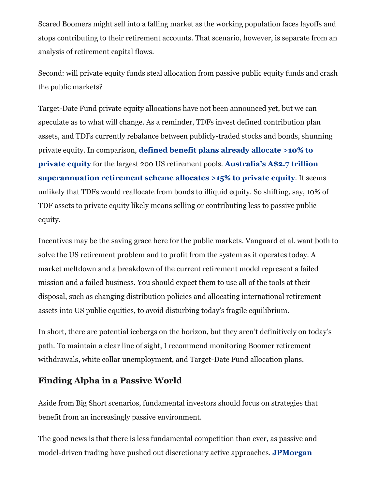Scared Boomers might sell into a falling market as the working population faces layoffs and stops contributing to their retirement accounts. That scenario, however, is separate from an analysis of retirement capital flows.

Second: will private equity funds steal allocation from passive public equity funds and crash the public markets?

Target-Date Fund private equity allocations have not been announced yet, but we can speculate as to what will change. As a reminder, TDFs invest defined contribution plan assets, and TDFs currently rebalance between publicly-traded stocks and bonds, shunning private equity. In comparison, **[defined benefit plans already allocate >10% to](https://www.pionline.com/article/20190204/PRINT/190209959/largest-funds-top-11-trillion-assets-up-6-4) private equity** for the largest 200 US retirement pools. **Australia's A\$2.7 trillion [superannuation retirement scheme allocates >15% to private equity](https://www.superannuation.asn.au/resources/superannuation-statistics)**. It seems unlikely that TDFs would reallocate from bonds to illiquid equity. So shifting, say, 10% of TDF assets to private equity likely means selling or contributing less to passive public equity.

Incentives may be the saving grace here for the public markets. Vanguard et al. want both to solve the US retirement problem and to profit from the system as it operates today. A market meltdown and a breakdown of the current retirement model represent a failed mission and a failed business. You should expect them to use all of the tools at their disposal, such as changing distribution policies and allocating international retirement assets into US public equities, to avoid disturbing today's fragile equilibrium.

In short, there are potential icebergs on the horizon, but they aren't definitively on today's path. To maintain a clear line of sight, I recommend monitoring Boomer retirement withdrawals, white collar unemployment, and Target-Date Fund allocation plans.

# **Finding Alpha in a Passive World**

Aside from Big Short scenarios, fundamental investors should focus on strategies that benefit from an increasingly passive environment.

The good news is that there is less fundamental competition than ever, as passive and [model-driven trading have pushed out discretionary active approaches.](https://www.cnbc.com/2017/06/13/death-of-the-human-investor-just-10-percent-of-trading-is-regular-stock-picking-jpmorgan-estimates.html#:~:text=%E2%80%9CFundamental%20discretionary%20traders%E2%80%9D%20account%20for,%2C%E2%80%9D%20said%20JPMorgan) **JPMorgan**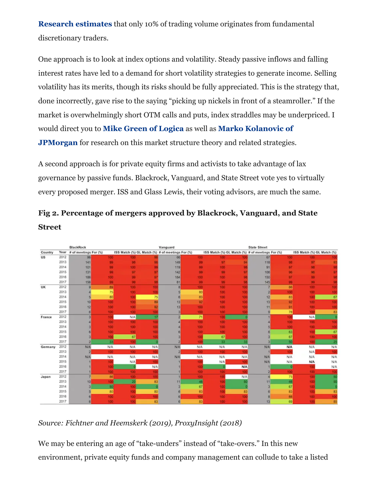**Research estimates** [that only 10% of trading volume originates from fundamenta](https://www.cnbc.com/2017/06/13/death-of-the-human-investor-just-10-percent-of-trading-is-regular-stock-picking-jpmorgan-estimates.html#:~:text=%E2%80%9CFundamental%20discretionary%20traders%E2%80%9D%20account%20for,%2C%E2%80%9D%20said%20JPMorgan)l discretionary traders.

One approach is to look at index options and volatility. Steady passive inflows and falling interest rates have led to a demand for short volatility strategies to generate income. Selling volatility has its merits, though its risks should be fully appreciated. This is the strategy that, done incorrectly, gave rise to the saying "picking up nickels in front of a steamroller." If the market is overwhelmingly short OTM calls and puts, index straddles may be underpriced. I would direct you to **[Mike Green of Logica](https://www.logicafunds.com/blog-research)** as well as **Marko Kolanovic of JPMorgan** [for research on this market structure theory and related strategies](https://www.jpmorgan.com/global/research).

A second approach is for private equity firms and activists to take advantage of lax governance by passive funds. Blackrock, Vanguard, and State Street vote yes to virtually every proposed merger. ISS and Glass Lewis, their voting advisors, are much the same.



**Fig 2. Percentage of mergers approved by Blackrock, Vanguard, and State Street** 

*Source: Fichtner and Heemskerk (2019), ProxyInsight (2018)*

We may be entering an age of "take-unders" instead of "take-overs." In this new environment, private equity funds and company management can collude to take a listed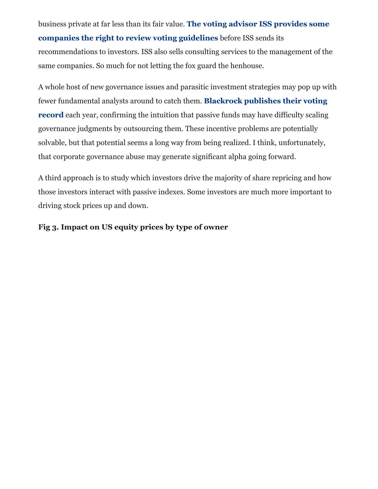business private at far less than its fair value. **The voting advisor ISS provides some [companies the right to review voting guidelines](https://clsbluesky.law.columbia.edu/2020/02/19/why-the-sec-proposal-to-regulate-proxy-advisors-is-flawed/)** before ISS sends its recommendations to investors. ISS also sells consulting services to the management of the same companies. So much for not letting the fox guard the henhouse.

A whole host of new governance issues and parasitic investment strategies may pop up with fewer fundamental analysts around to catch them. **Blackrock publishes their voting record** [each year, confirming the intuition that passive funds may have difficulty scaling](https://www.blackrock.com/corporate/literature/publication/blk-voting-and-engagment-statistics-annual-report-2019.pdf) governance judgments by outsourcing them. These incentive problems are potentially solvable, but that potential seems a long way from being realized. I think, unfortunately, that corporate governance abuse may generate significant alpha going forward.

A third approach is to study which investors drive the majority of share repricing and how those investors interact with passive indexes. Some investors are much more important to driving stock prices up and down.

#### **Fig 3. Impact on US equity prices by type of owner**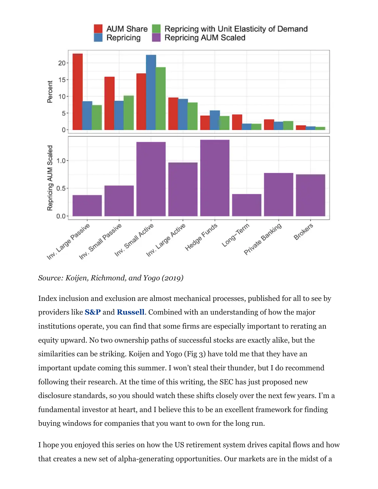

*Source: Koijen, Richmond, and Yogo (2019)*

Index inclusion and exclusion are almost mechanical processes, published for all to see by providers like **[S&P](https://us.spindices.com/documents/methodologies/methodology-sp-us-indices.pdf)** and **[Russell](https://www.ftserussell.com/governance/index-policy-and-methodology)**. Combined with an understanding of how the major institutions operate, you can find that some firms are especially important to rerating an equity upward. No two ownership paths of successful stocks are exactly alike, but the similarities can be striking. Koijen and Yogo (Fig 3) have told me that they have an important update coming this summer. I won't steal their thunder, but I do recommend following their research. At the time of this writing, the SEC has just proposed new disclosure standards, so you should watch these shifts closely over the next few years. I'm a fundamental investor at heart, and I believe this to be an excellent framework for finding buying windows for companies that you want to own for the long run.

I hope you enjoyed this series on how the US retirement system drives capital flows and how that creates a new set of alpha-generating opportunities. Our markets are in the midst of a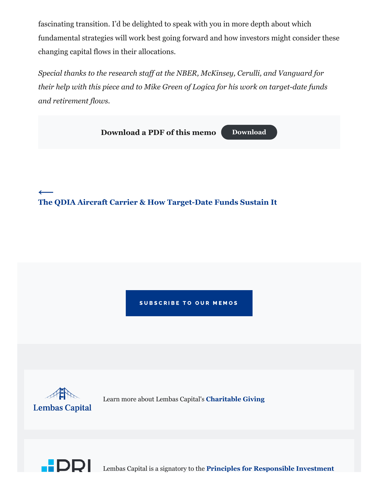fascinating transition. I'd be delighted to speak with you in more depth about which fundamental strategies will work best going forward and how investors might consider these changing capital flows in their allocations.

*Special thanks to the research staff at the NBER, McKinsey, Cerulli, and Vanguard for their help with this piece and to Mike Green of Logica for his work on target-date funds and retirement flows.*



SUBSCRIBE TO OUR MEMOS



Learn more about Lembas Capital's **[Charitable Giving](https://lembascapital.com/img/Lembas-Capital-Charitable-Giving.pdf)**